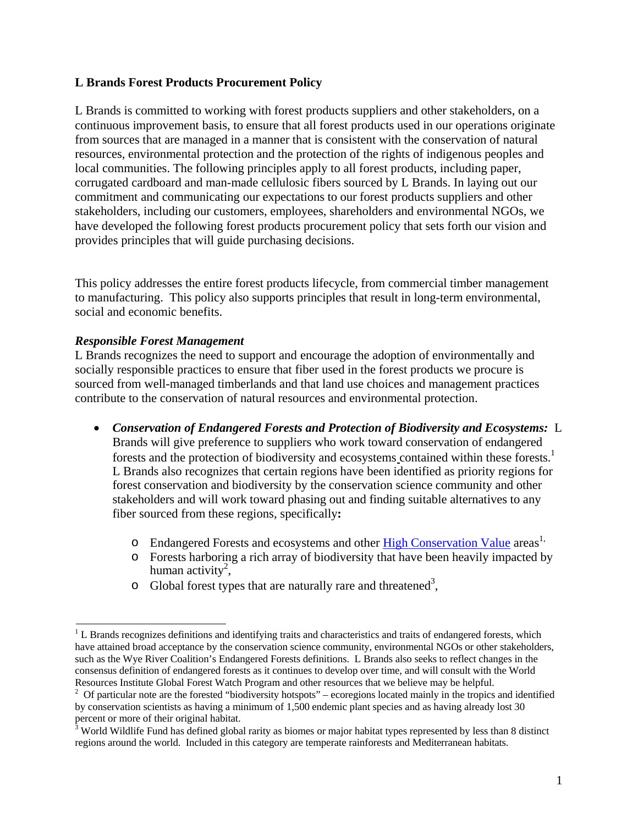## **L Brands Forest Products Procurement Policy**

L Brands is committed to working with forest products suppliers and other stakeholders, on a continuous improvement basis, to ensure that all forest products used in our operations originate from sources that are managed in a manner that is consistent with the conservation of natural resources, environmental protection and the protection of the rights of indigenous peoples and local communities. The following principles apply to all forest products, including paper, corrugated cardboard and man-made cellulosic fibers sourced by L Brands. In laying out our commitment and communicating our expectations to our forest products suppliers and other stakeholders, including our customers, employees, shareholders and environmental NGOs, we have developed the following forest products procurement policy that sets forth our vision and provides principles that will guide purchasing decisions.

This policy addresses the entire forest products lifecycle, from commercial timber management to manufacturing. This policy also supports principles that result in long-term environmental, social and economic benefits.

## *Responsible Forest Management*

L Brands recognizes the need to support and encourage the adoption of environmentally and socially responsible practices to ensure that fiber used in the forest products we procure is sourced from well-managed timberlands and that land use choices and management practices contribute to the conservation of natural resources and environmental protection.

- *Conservation of Endangered Forests and Protection of Biodiversity and Ecosystems:* L Brands will give preference to suppliers who work toward conservation of endangered forests and the protection of biodiversity and ecosystems contained within these forests.<sup>1</sup> L Brands also recognizes that certain regions have been identified as priority regions for forest conservation and biodiversity by the conservation science community and other stakeholders and will work toward phasing out and finding suitable alternatives to any fiber sourced from these regions, specifically**:**
	- o Endangered Forests and ecosystems and other High Conservation Value areas<sup>1,</sup>
	- o Forests harboring a rich array of biodiversity that have been heavily impacted by human activity<sup>2</sup>,
	- $\circ$  Global forest types that are naturally rare and threatened<sup>3</sup>,

 $1$  L Brands recognizes definitions and identifying traits and characteristics and traits of endangered forests, which have attained broad acceptance by the conservation science community, environmental NGOs or other stakeholders, such as the Wye River Coalition's Endangered Forests definitions. L Brands also seeks to reflect changes in the consensus definition of endangered forests as it continues to develop over time, and will consult with the World Resources Institute Global Forest Watch Program and other resources that we believe may be helpful.

<sup>&</sup>lt;sup>2</sup> Of particular note are the forested "biodiversity hotspots" – ecoregions located mainly in the tropics and identified by conservation scientists as having a minimum of 1,500 endemic plant species and as having already lost 30 percent or more of their original habitat.

<sup>&</sup>lt;sup>3</sup> World Wildlife Fund has defined global rarity as biomes or major habitat types represented by less than 8 distinct regions around the world. Included in this category are temperate rainforests and Mediterranean habitats.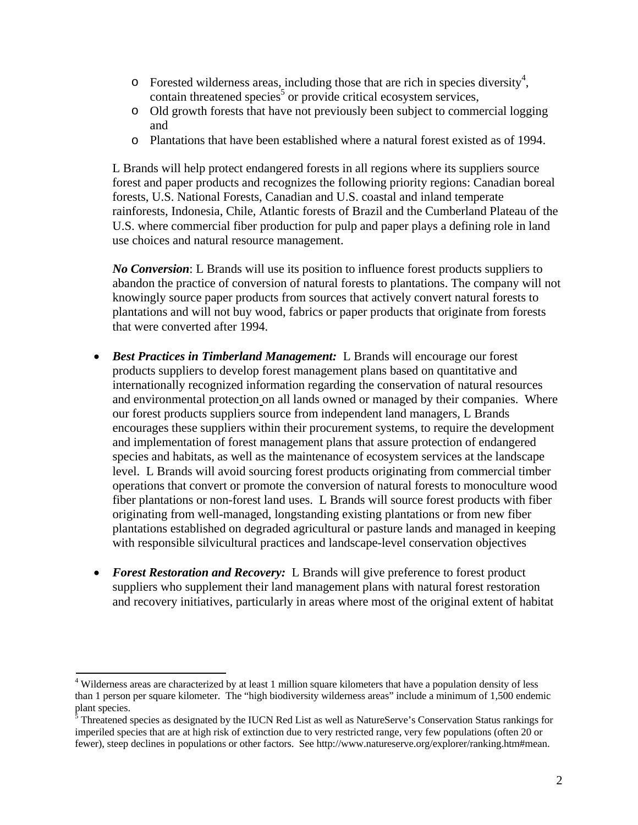- $\circ$  Forested wilderness areas, including those that are rich in species diversity<sup>4</sup>, contain threatened species<sup>5</sup> or provide critical ecosystem services,
- o Old growth forests that have not previously been subject to commercial logging and
- o Plantations that have been established where a natural forest existed as of 1994.

L Brands will help protect endangered forests in all regions where its suppliers source forest and paper products and recognizes the following priority regions: Canadian boreal forests, U.S. National Forests, Canadian and U.S. coastal and inland temperate rainforests, Indonesia, Chile, Atlantic forests of Brazil and the Cumberland Plateau of the U.S. where commercial fiber production for pulp and paper plays a defining role in land use choices and natural resource management.

*No Conversion*: L Brands will use its position to influence forest products suppliers to abandon the practice of conversion of natural forests to plantations. The company will not knowingly source paper products from sources that actively convert natural forests to plantations and will not buy wood, fabrics or paper products that originate from forests that were converted after 1994.

- *Best Practices in Timberland Management:* L Brands will encourage our forest products suppliers to develop forest management plans based on quantitative and internationally recognized information regarding the conservation of natural resources and environmental protection on all lands owned or managed by their companies. Where our forest products suppliers source from independent land managers, L Brands encourages these suppliers within their procurement systems, to require the development and implementation of forest management plans that assure protection of endangered species and habitats, as well as the maintenance of ecosystem services at the landscape level. L Brands will avoid sourcing forest products originating from commercial timber operations that convert or promote the conversion of natural forests to monoculture wood fiber plantations or non-forest land uses. L Brands will source forest products with fiber originating from well-managed, longstanding existing plantations or from new fiber plantations established on degraded agricultural or pasture lands and managed in keeping with responsible silvicultural practices and landscape-level conservation objectives
- *Forest Restoration and Recovery:* L Brands will give preference to forest product suppliers who supplement their land management plans with natural forest restoration and recovery initiatives, particularly in areas where most of the original extent of habitat

<sup>4</sup> Wilderness areas are characterized by at least 1 million square kilometers that have a population density of less than 1 person per square kilometer. The "high biodiversity wilderness areas" include a minimum of 1,500 endemic plant species.

 $5$  Threatened species as designated by the IUCN Red List as well as NatureServe's Conservation Status rankings for imperiled species that are at high risk of extinction due to very restricted range, very few populations (often 20 or fewer), steep declines in populations or other factors. See http://www.natureserve.org/explorer/ranking.htm#mean.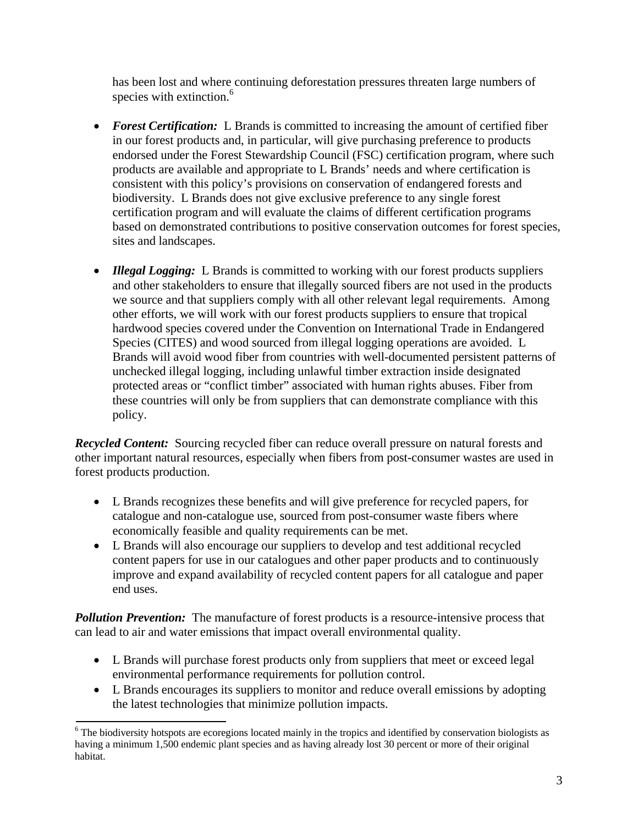has been lost and where continuing deforestation pressures threaten large numbers of species with extinction.<sup>6</sup>

- **Forest Certification:** L Brands is committed to increasing the amount of certified fiber in our forest products and, in particular, will give purchasing preference to products endorsed under the Forest Stewardship Council (FSC) certification program, where such products are available and appropriate to L Brands' needs and where certification is consistent with this policy's provisions on conservation of endangered forests and biodiversity. L Brands does not give exclusive preference to any single forest certification program and will evaluate the claims of different certification programs based on demonstrated contributions to positive conservation outcomes for forest species, sites and landscapes.
- *Illegal Logging:* L Brands is committed to working with our forest products suppliers and other stakeholders to ensure that illegally sourced fibers are not used in the products we source and that suppliers comply with all other relevant legal requirements. Among other efforts, we will work with our forest products suppliers to ensure that tropical hardwood species covered under the Convention on International Trade in Endangered Species (CITES) and wood sourced from illegal logging operations are avoided. L Brands will avoid wood fiber from countries with well-documented persistent patterns of unchecked illegal logging, including unlawful timber extraction inside designated protected areas or "conflict timber" associated with human rights abuses. Fiber from these countries will only be from suppliers that can demonstrate compliance with this policy.

*Recycled Content:* Sourcing recycled fiber can reduce overall pressure on natural forests and other important natural resources, especially when fibers from post-consumer wastes are used in forest products production.

- L Brands recognizes these benefits and will give preference for recycled papers, for catalogue and non-catalogue use, sourced from post-consumer waste fibers where economically feasible and quality requirements can be met.
- L Brands will also encourage our suppliers to develop and test additional recycled content papers for use in our catalogues and other paper products and to continuously improve and expand availability of recycled content papers for all catalogue and paper end uses.

**Pollution Prevention:** The manufacture of forest products is a resource-intensive process that can lead to air and water emissions that impact overall environmental quality.

- L Brands will purchase forest products only from suppliers that meet or exceed legal environmental performance requirements for pollution control.
- L Brands encourages its suppliers to monitor and reduce overall emissions by adopting the latest technologies that minimize pollution impacts.

<sup>&</sup>lt;sup>6</sup> The biodiversity hotspots are ecoregions located mainly in the tropics and identified by conservation biologists as having a minimum 1,500 endemic plant species and as having already lost 30 percent or more of their original habitat.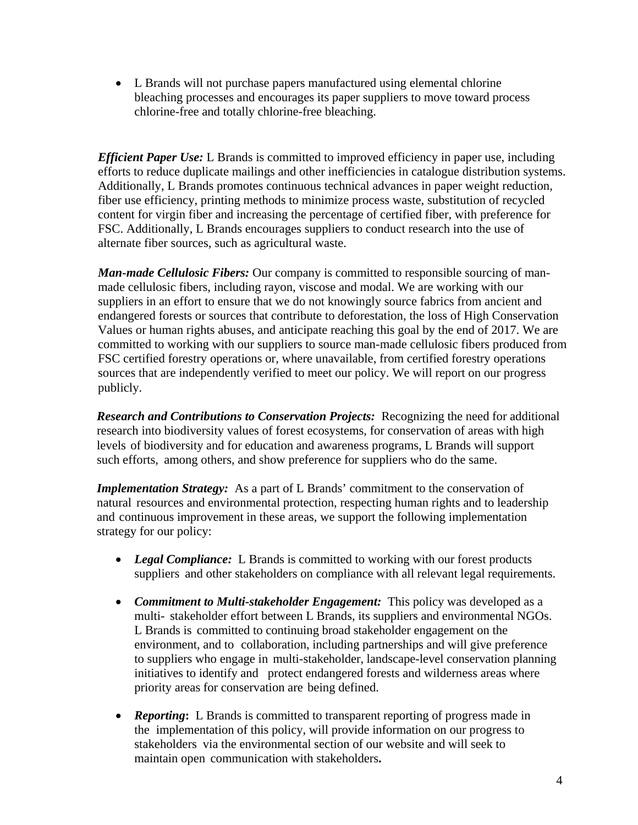L Brands will not purchase papers manufactured using elemental chlorine bleaching processes and encourages its paper suppliers to move toward process chlorine-free and totally chlorine-free bleaching.

*Efficient Paper Use:* L Brands is committed to improved efficiency in paper use, including efforts to reduce duplicate mailings and other inefficiencies in catalogue distribution systems. Additionally, L Brands promotes continuous technical advances in paper weight reduction, fiber use efficiency, printing methods to minimize process waste, substitution of recycled content for virgin fiber and increasing the percentage of certified fiber, with preference for FSC. Additionally, L Brands encourages suppliers to conduct research into the use of alternate fiber sources, such as agricultural waste.

*Man-made Cellulosic Fibers:* Our company is committed to responsible sourcing of manmade cellulosic fibers, including rayon, viscose and modal. We are working with our suppliers in an effort to ensure that we do not knowingly source fabrics from ancient and endangered forests or sources that contribute to deforestation, the loss of High Conservation Values or human rights abuses, and anticipate reaching this goal by the end of 2017. We are committed to working with our suppliers to source man-made cellulosic fibers produced from FSC certified forestry operations or, where unavailable, from certified forestry operations sources that are independently verified to meet our policy. We will report on our progress publicly.

*Research and Contributions to Conservation Projects:* Recognizing the need for additional research into biodiversity values of forest ecosystems, for conservation of areas with high levels of biodiversity and for education and awareness programs, L Brands will support such efforts, among others, and show preference for suppliers who do the same.

*Implementation Strategy:* As a part of L Brands' commitment to the conservation of natural resources and environmental protection, respecting human rights and to leadership and continuous improvement in these areas, we support the following implementation strategy for our policy:

- *Legal Compliance:* L Brands is committed to working with our forest products suppliers and other stakeholders on compliance with all relevant legal requirements.
- *Commitment to Multi-stakeholder Engagement:* This policy was developed as a multi- stakeholder effort between L Brands, its suppliers and environmental NGOs. L Brands is committed to continuing broad stakeholder engagement on the environment, and to collaboration, including partnerships and will give preference to suppliers who engage in multi-stakeholder, landscape-level conservation planning initiatives to identify and protect endangered forests and wilderness areas where priority areas for conservation are being defined.
- **Reporting:** L Brands is committed to transparent reporting of progress made in the implementation of this policy, will provide information on our progress to stakeholders via the environmental section of our website and will seek to maintain open communication with stakeholders**.**